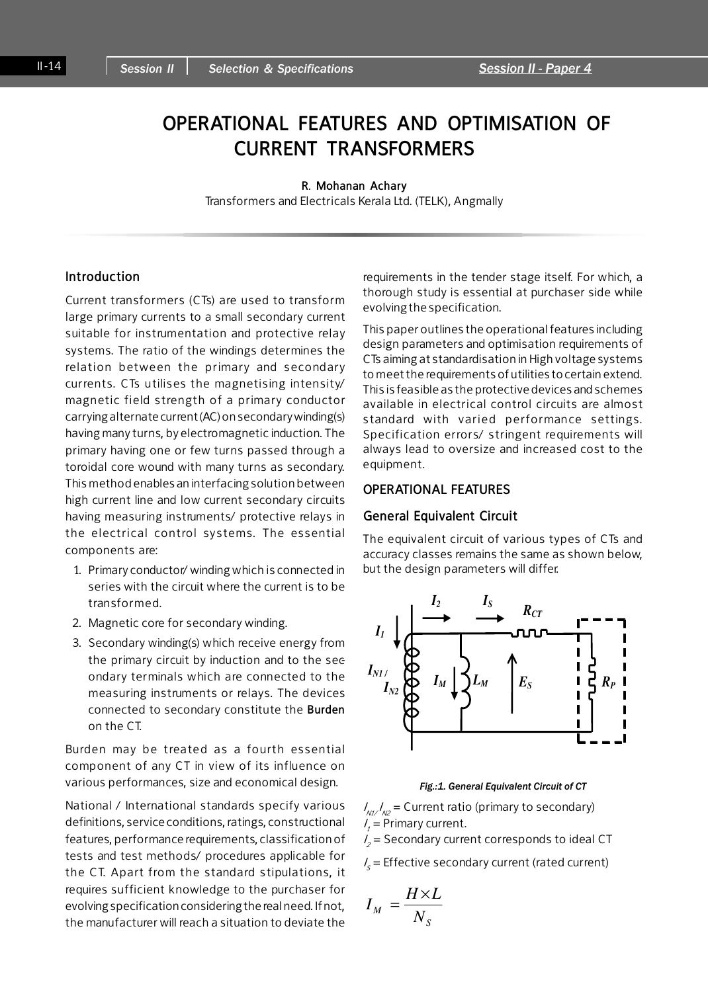# OPERATIONAL FEATURES AND OPTIMISATION OF CURRENT TRANSFORMERS

#### R. Mohanan Achary

Transformers and Electricals Kerala Ltd. (TELK), Angmally

## Introduction

Current transformers (CTs) are used to transform large primary currents to a small secondary current suitable for instrumentation and protective relay systems. The ratio of the windings determines the relation between the primary and secondary currents. CTs utilises the magnetising intensity/ magnetic field strength of a primary conductor carrying alternate current (AC) on secondary winding(s) having many turns, by electromagnetic induction. The primary having one or few turns passed through a toroidal core wound with many turns as secondary. This method enables an interfacing solution between high current line and low current secondary circuits having measuring instruments/ protective relays in the electrical control systems. The essential components are:

- 1. Primary conductor/ winding which is connected in series with the circuit where the current is to be transformed.
- 2. Magnetic core for secondary winding.
- 3. Secondary winding(s) which receive energy from the primary circuit by induction and to the secondary terminals which are connected to the measuring instruments or relays. The devices connected to secondary constitute the Burden on the CT.

Burden may be treated as a fourth essential component of any CT in view of its influence on various performances, size and economical design.

National / International standards specify various definitions, service conditions, ratings, constructional features, performance requirements, classification of tests and test methods/ procedures applicable for the CT. Apart from the standard stipulations, it requires sufficient knowledge to the purchaser for evolving specification considering the real need. If not, the manufacturer will reach a situation to deviate the

requirements in the tender stage itself. For which, a thorough study is essential at purchaser side while evolving the specification.

This paper outlines the operational features including design parameters and optimisation requirements of CTs aiming at standardisation in High voltage systems to meet the requirements of utilities to certain extend. This is feasible as the protective devices and schemes available in electrical control circuits are almost standard with varied performance settings. Specification errors/ stringent requirements will always lead to oversize and increased cost to the equipment.

## OPERATIONAL FEATURES

#### General Equivalent Circuit

The equivalent circuit of various types of CTs and accuracy classes remains the same as shown below, but the design parameters will differ.



#### Fig.:1. General Equivalent Circuit of CT

 $I_{\scriptscriptstyle\rm M1}/I_{\scriptscriptstyle\rm N2}$  = Current ratio (primary to secondary)  $I_1$  = Primary current.

 $I_2$  = Secondary current corresponds to ideal CT

 $I_s$  = Effective secondary current (rated current)

$$
I_M = \frac{H \times L}{N_S}
$$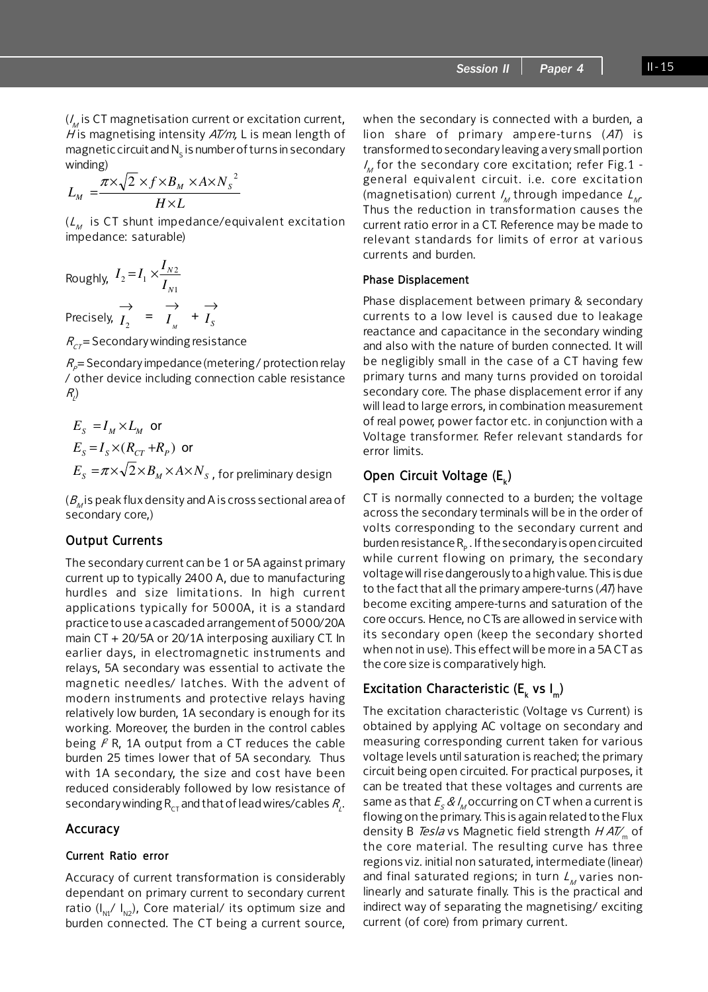$$
L_M = \frac{\pi \times \sqrt{2} \times f \times B_M \times A \times N_S^2}{H \times L}
$$

 $(L_M$  is CT shunt impedance/equivalent excitation impedance: saturable)

Roughly,  $I_2 = I_1 \times \frac{I_1}{I_{N1}}$  $_{2} = I_{1} \times \frac{I_{N2}}{I}$ *N N I*  $I_2 = I_1 \times \frac{I}{I_2}$ Precisely,  $\overrightarrow{I}_{2}$  =  $\overrightarrow{I}_{M}$  $\overrightarrow{I}_y$  +  $\overrightarrow{I}_s$ 

 $R<sub>CT</sub>$  = Secondary winding resistance

 $R_p$ = Secondary impedance (metering / protection relay / other device including connection cable resistance  $R_{\!\scriptscriptstyle L\!}/$ 

 $\rightarrow$ 

$$
E_s = I_M \times L_M \text{ or}
$$
  
\n
$$
E_s = I_s \times (R_{CT} + R_P) \text{ or}
$$
  
\n
$$
E_s = \pi \times \sqrt{2} \times B_M \times A \times N_s \text{, for preliminary design}
$$

 $(B_{\rm M})$  is peak flux density and A is cross sectional area of secondary core,)

## Output Currents

The secondary current can be 1 or 5A against primary current up to typically 2400 A, due to manufacturing hurdles and size limitations. In high current applications typically for 5000A, it is a standard practice to use a cascaded arrangement of 5000/20A main CT + 20/5A or 20/1A interposing auxiliary CT. In earlier days, in electromagnetic instruments and relays, 5A secondary was essential to activate the magnetic needles/ latches. With the advent of modern instruments and protective relays having relatively low burden, 1A secondary is enough for its working. Moreover, the burden in the control cables being  $P$  R, 1A output from a CT reduces the cable burden 25 times lower that of 5A secondary. Thus with 1A secondary, the size and cost have been reduced considerably followed by low resistance of secondary winding  $\mathsf{R}_{\mathsf{CT}}$  and that of lead wires/cables  $\mathsf{R}_{\!\scriptscriptstyle{L}}$ .

## Accuracy

#### Current Ratio error

Accuracy of current transformation is considerably dependant on primary current to secondary current ratio (I<sub>N1</sub>/ I<sub>N2</sub>), Core material/ its optimum size and burden connected. The CT being a current source, when the secondary is connected with a burden, a lion share of primary ampere-turns  $(47)$  is transformed to secondary leaving a very small portion  $I_{\!_M}$  for the secondary core excitation; refer Fig.1 general equivalent circuit. i.e. core excitation (magnetisation) current  $\mathit{l}_\mathit{M}$  through impedance  $\mathit{L}_\mathit{M}$ Thus the reduction in transformation causes the current ratio error in a CT. Reference may be made to relevant standards for limits of error at various currents and burden.

#### Phase Displacement

Phase displacement between primary & secondary currents to a low level is caused due to leakage reactance and capacitance in the secondary winding and also with the nature of burden connected. It will be negligibly small in the case of a CT having few primary turns and many turns provided on toroidal secondary core. The phase displacement error if any will lead to large errors, in combination measurement of real power, power factor etc. in conjunction with a Voltage transformer. Refer relevant standards for error limits.

## Open Circuit Voltage (E<sub>k</sub>)

CT is normally connected to a burden; the voltage across the secondary terminals will be in the order of volts corresponding to the secondary current and burden resistance R<sub>p</sub> . If the secondary is open circuited while current flowing on primary, the secondary voltage will rise dangerously to a high value. This is due to the fact that all the primary ampere-turns  $(A<sup>T</sup>)$  have become exciting ampere-turns and saturation of the core occurs. Hence, no CTs are allowed in service with its secondary open (keep the secondary shorted when not in use). This effect will be more in a 5A CT as the core size is comparatively high.

## Excitation Characteristic (E<sub>k</sub> vs I<sub>m</sub>)

The excitation characteristic (Voltage vs Current) is obtained by applying AC voltage on secondary and measuring corresponding current taken for various voltage levels until saturation is reached; the primary circuit being open circuited. For practical purposes, it can be treated that these voltages and currents are same as that  $\mathit{\mathit{E}}_{\mathit{s}}$  &  $\mathit{l}_\mathit{M}$ occurring on CT when a current is flowing on the primary. This is again related to the Flux density B Tesla vs Magnetic field strength  $HAT_{m}$  of the core material. The resulting curve has three regions viz. initial non saturated, intermediate (linear) and final saturated regions; in turn  $L_M$  varies nonlinearly and saturate finally. This is the practical and indirect way of separating the magnetising/ exciting current (of core) from primary current.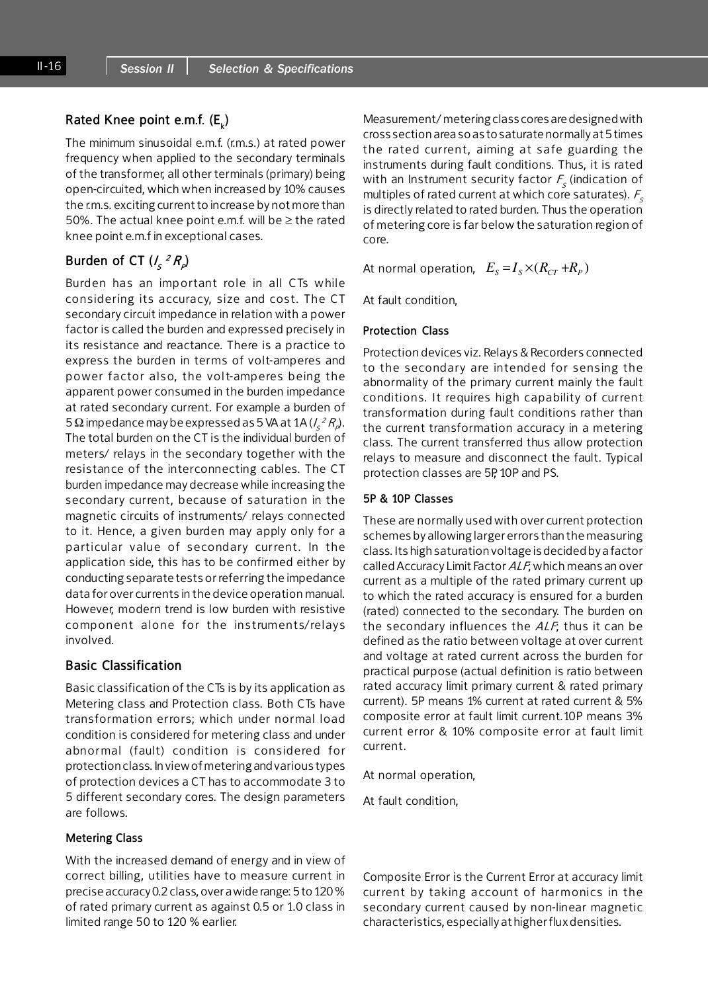## Rated Knee point e.m.f. (E<sub>k</sub>)

The minimum sinusoidal e.m.f. (r.m.s.) at rated power frequency when applied to the secondary terminals of the transformer, all other terminals (primary) being open-circuited, which when increased by 10% causes the r.m.s. exciting current to increase by not more than 50%. The actual knee point e.m.f. will be ≥ the rated knee point e.m.f in exceptional cases.

## Burden of CT  $(I_{\mathcal{S}}^{\;\;2}R_{\rho})$

Burden has an imp ortant role in all CTs w hile considering its accuracy, size and cost. The CT secondary circuit impedance in relation with a power factor is called the burden and expressed precisely in its resistance and reactance. There is a practice to express the burden in terms of volt-amperes and power factor also, the volt-amperes being the apparent power consumed in the burden impedance at rated secondary current. For example a burden of 5 Ω impedance may be expressed as 5 VA at 1A (/ ${}_{\sf s}$   $^2$   $R_{\sf p}$ ). The total burden on the CT is the individual burden of meters/ relays in the secondary together with the resistance of the interconnecting cables. The CT burden impedance may decrease while increasing the secondary current, because of saturation in the magnetic circuits of instruments/ relays connected to it. Hence, a given burden may apply only for a particular value of secondary current. In the application side, this has to be confirmed either by conducting separate tests or referring the impedance data for over currents in the device operation manual. However, modern trend is low burden with resistive component alone for the instruments/relays involved.

### Basic Classification

Basic classification of the CTs is by its application as Metering class and Protection class. Both CTs have transformation errors; which under normal load condition is considered for metering class and under abnormal (fault) condition is considered for protection class. In view of metering and various types of protection devices a CT has to accommodate 3 to 5 different secondary cores. The design parameters are follows.

#### Metering Class

With the increased demand of energy and in view of correct billing, utilities have to measure current in precise accuracy 0.2 class, over a wide range: 5 to 120 % of rated primary current as against 0.5 or 1.0 class in limited range 50 to 120 % earlier.

Measurement/ metering class cores are designed with cross section area so as to saturate normally at 5 times the rated current, aiming at safe guarding the instruments during fault conditions. Thus, it is rated with an Instrument security factor  $\mathit{F}_{_{\mathcal{S}}}$  (indication of multiples of rated current at which core saturates).  $F_s$ is directly related to rated burden. Thus the operation of metering core is far below the saturation region of core.

At normal operation,  $E_s = I_s \times (R_{CT} + R_p)$ 

At fault condition,

#### Protection Class

Protection devices viz. Relays & Recorders connected to the secondary are intended for sensing the abnormality of the primary current mainly the fault conditions. It requires high capability of current transformation during fault conditions rather than the current transformation accuracy in a metering class. The current transferred thus allow protection relays to measure and disconnect the fault. Typical protection classes are 5P, 10P and PS.

#### 5P & 10P Classes

These are normally used with over current protection schemes by allowing larger errors than the measuring class. Its high saturation voltage is decided by a factor called Accuracy Limit Factor ALF; which means an over current as a multiple of the rated primary current up to which the rated accuracy is ensured for a burden (rated) connected to the secondary. The burden on the secondary influences the  $ALF$ ; thus it can be defined as the ratio between voltage at over current and voltage at rated current across the burden for practical purpose (actual definition is ratio between rated accuracy limit primary current & rated primary current). 5P means 1% current at rated current & 5% composite error at fault limit current.10P means 3% current error & 10% composite error at fault limit current.

At normal operation,

At fault condition,

Composite Error is the Current Error at accuracy limit current by taking account of harmonics in the secondary current caused by non-linear magnetic characteristics, especially at higher flux densities.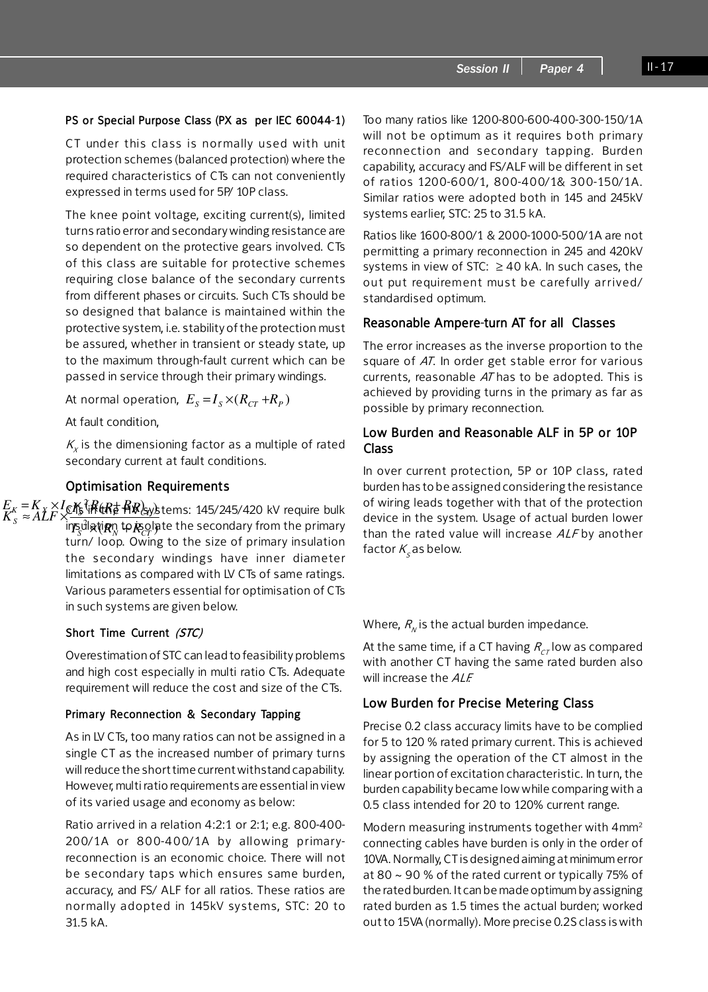## PS or Special Purpose Class (PX as per IEC 60044-1)

CT under this class is normally used with unit protection schemes (balanced protection) where the required characteristics of CTs can not conveniently expressed in terms used for 5P/ 10P class.

The knee point voltage, exciting current(s), limited turns ratio error and secondary winding resistance are so dependent on the protective gears involved. CTs of this class are suitable for protective schemes requiring close balance of the secondary currents from different phases or circuits. Such CTs should be so designed that balance is maintained within the protective system, i.e. stability of the protection must be assured, whether in transient or steady state, up to the maximum through-fault current which can be passed in service through their primary windings.

At normal operation,  $E_s = I_s \times (R_{CT} + R_p)$ 

At fault condition,

 $K_{\nu}$  is the dimensioning factor as a multiple of rated secondary current at fault conditions.

## Optimisation Requirements

 $E_K = K_X \times I$ c $K_{\rm F}$ <sup> $\chi$ </sup>i $R$ (t $R_{\rm F}$ ) $R_{\rm F}$ ) k $\chi$ stems: 145/245/420 kV require bulk ins္ပါါဆျုံ**စု**ဂ္ဂ **to န**ွင္တါate the secondary from the primary turn/ loop. Owing to the size of primary insulation the secondary windings have inner diameter limitations as compared with LV CTs of same ratings. Various parameters essential for optimisation of CTs in such systems are given below. (tR# <del>f</del>(R)<sub>SV</sub>) 2 2  $S$   $\mathcal{N}$   $\mathcal{N}$   $\mathcal{N}$   $\mathcal{N}$   $\mathcal{N}$   $\mathcal{N}$   $\mathcal{N}$   $\mathcal{N}$  $S \approx \widehat{A} \widehat{L} \widehat{F} \times \frac{\widehat{A} \widehat{B} \text{ if } \widehat{R} \widehat{B}}{\text{ if } \widehat{R} \widehat{B}} \text{ if } \widehat{R} \widehat{B} \widehat{C}$  $E_K = K_X \times I_{\mathcal{K}}$ *K*  $\frac{1}{2}$  *R*  $\frac{1}{2}$  *R R*  $\frac{1}{2}$  *R R R & ALF*  $\times$ ब्रां $\bm{R}$ n te <sup>×</sup> <sup>+</sup> <sup>≈</sup> <sup>×</sup>

#### Short Time Current (STC)

Overestimation of STC can lead to feasibility problems and high cost especially in multi ratio CTs. Adequate requirement will reduce the cost and size of the CTs.

#### Primary Reconnection & Secondary Tapping

As in LV CTs, too many ratios can not be assigned in a single CT as the increased number of primary turns will reduce the short time current withstand capability. However, multi ratio requirements are essential in view of its varied usage and economy as below:

Ratio arrived in a relation 4:2:1 or 2:1; e.g. 800-400- 200/1A or 800-400/1A by allowing primaryreconnection is an economic choice. There will not be secondary taps which ensures same burden, accuracy, and FS/ ALF for all ratios. These ratios are normally adopted in 145kV systems, STC: 20 to 31.5 kA.

Too many ratios like 1200-800-600-400-300-150/1A will not be optimum as it requires both primary reconnection and secondary tapping. Burden capability, accuracy and FS/ALF will be different in set of ratios 1200-600/1, 800-400/1& 300-150/1A. Similar ratios were adopted both in 145 and 245kV systems earlier, STC: 25 to 31.5 kA.

Ratios like 1600-800/1 & 2000-1000-500/1A are not permitting a primary reconnection in 245 and 420kV systems in view of STC:  $\geq 40$  kA. In such cases, the out put requirement must be carefully arrived/ standardised optimum.

#### Reasonable Ampere-turn AT for all Classes

The error increases as the inverse proportion to the square of AT. In order get stable error for various currents, reasonable AT has to be adopted. This is achieved by providing turns in the primary as far as possible by primary reconnection.

## Low Burden and Reasonable ALF in 5P or 10P Class

In over current protection, 5P or 10P class, rated burden has to be assigned considering the resistance of wiring leads together with that of the protection device in the system. Usage of actual burden lower than the rated value will increase ALF by another factor  $\mathcal{K}_{_{\mathcal{S}}}$ as below.

Where,  $R_{N}$  is the actual burden impedance.

At the same time, if a CT having  $R_{CT}$  low as compared with another CT having the same rated burden also will increase the ALF.

### Low Burden for Precise Metering Class

Precise 0.2 class accuracy limits have to be complied for 5 to 120 % rated primary current. This is achieved by assigning the operation of the CT almost in the linear portion of excitation characteristic. In turn, the burden capability became low while comparing with a 0.5 class intended for 20 to 120% current range.

Modern measuring instruments together with 4mm<sup>2</sup> connecting cables have burden is only in the order of 10VA. Normally, CT is designed aiming at minimum error at 80 ~ 90 % of the rated current or typically 75% of the rated burden. It can be made optimum by assigning rated burden as 1.5 times the actual burden; worked out to 15VA (normally). More precise 0.2S class is with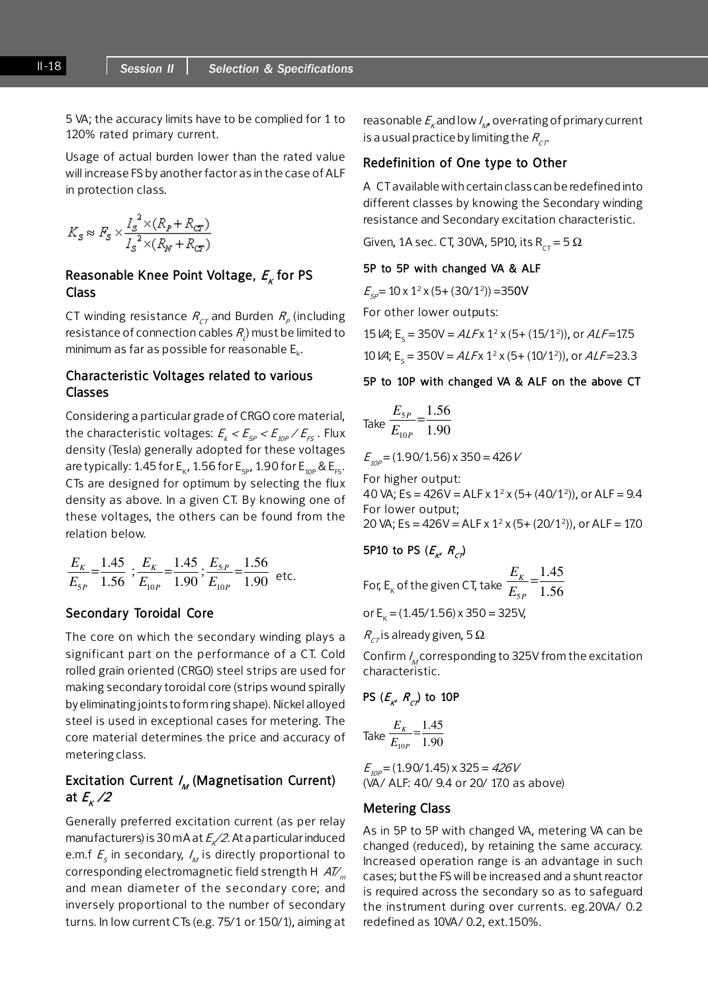5 VA; the accuracy limits have to be complied for 1 to 120% rated primary current.

Usage of actual burden lower than the rated value will increase FS by another factor as in the case of ALF in protection class.

$$
K_S \approx F_S \times \frac{I_S^2 \times (R_P + R_{cr})}{I_S^2 \times (R_N + R_{cr})}
$$

## Reasonable Knee Point Voltage,  $E_k$  for PS Class

<code>CT</code> winding resistance  $R_{\rm\scriptscriptstyle CT}$  and Burden  $R_{\rm\scriptscriptstyle P}$  (including resistance of connection cables  $R_{\!\scriptscriptstyle 1}^{}$  must be limited to minimum as far as possible for reasonable  $E_k$ .

## Characteristic Voltages related to various Classes

Considering a particular grade of CRGO core material, the characteristic voltages:  $\mathit{E_{_{\mathit{K}}}} < \mathit{E_{_{\mathit{Sp}}}} < \mathit{E_{_{\mathit{10P}}}} / \mathit{E_{_{\mathit{FS}}}}$  . Flux density (Tesla) generally adopted for these voltages are typically: 1.45 for  $E_{K}$ , 1.56 for  $E_{5P}$ , 1.90 for  $E_{10P}$  &  $E_{FS}$ . CTs are designed for optimum by selecting the flux density as above. In a given CT. By knowing one of these voltages, the others can be found from the relation below.

$$
\frac{E_K}{E_{SP}} = \frac{1.45}{1.56} \; ; \frac{E_K}{E_{10P}} = \frac{1.45}{1.90} \; ; \frac{E_{5.P}}{E_{10P}} = \frac{1.56}{1.90} \; \text{etc.}
$$

#### Secondary Toroidal Core

The core on which the secondary winding plays a significant part on the performance of a CT. Cold rolled grain oriented (CRGO) steel strips are used for making secondary toroidal core (strips wound spirally by eliminating joints to form ring shape). Nickel alloyed steel is used in exceptional cases for metering. The core material determines the price and accuracy of metering class.

## Excitation Current *I<sub>M</sub>* (Magnetisation Current) at  $E_{k}$  /2

Generally preferred excitation current (as per relay manufacturers) is 30 mA at  $E_{k}/2$ . At a particular induced e.m.f  $\mathcal{F}_{_{\mathcal{S}}}$  in secondary,  $\mathcal{I}_{_{\mathcal{M}}}$  is directly proportional to corresponding electromagnetic field strength H  $AV_m$ and mean diameter of the secondary core; and inversely proportional to the number of secondary turns. In low current CTs (e.g. 75/1 or 150/1), aiming at

reasonable  $E_{\kappa}$ and low  $\mathit{l}_{\scriptscriptstyle{M}}$  over-rating of primary current is a usual practice by limiting the  $R_{CT}$ 

## Redefinition of One type to Other

A CT available with certain class can be redefined into different classes by knowing the Secondary winding resistance and Secondary excitation characteristic.

Given, 1A sec. CT, 30VA, 5P10, its R<sub>CT</sub> = 5  $\Omega$ 

#### 5P to 5P with changed VA & ALF

 $E_{sp}$  = 10 x 1<sup>2</sup> x (5+ (30/1<sup>2</sup>)) = 350V

For other lower outputs:

15 
$$
\cancel{(A)}
$$
; E<sub>s</sub> = 350V = ALFx 1<sup>2</sup> x (5+ (15/1<sup>2</sup>)), or ALF=17.5

10  $\text{VA}$ ; E<sub>s</sub> = 350V = ALFx 1<sup>2</sup> x (5+ (10/1<sup>2</sup>)), or ALF=23.3

5P to 10P with changed VA & ALF on the above CT

Take 
$$
\frac{E_{SP}}{E_{10P}} = \frac{1.56}{1.90}
$$

 $E_{\text{10P}} = (1.90/1.56) \times 350 = 426 V$ 

For higher output: 40 VA; Es = 426V = ALF x 1<sup>2</sup> x (5+ (40/1<sup>2</sup>)), or ALF = 9.4 For lower output; 20 VA; Es = 426V = ALF x  $1^2$  x (5+ (20/1<sup>2</sup>)), or ALF = 17.0

5P10 to PS 
$$
(E_{K}, R_{C})
$$

For, E<sub>K</sub> of the given CT, take 
$$
\frac{E_K}{E_{SP}} = \frac{1.45}{1.56}
$$

or  $E_k = (1.45/1.56) \times 350 = 325V$ ,

 $R_{CT}$  is already given, 5 Ω

Confirm  $I_{\rm M}$  corresponding to 325V from the excitation characteristic.

PS 
$$
(E_{K'}
$$
,  $R_{C}$ ) to 10P

Take 
$$
\frac{E_K}{E_{10P}} = \frac{1.45}{1.90}
$$

 $E_{\text{10P}} = (1.90/1.45) \times 325 = 426V$ (VA/ ALF: 40/ 9.4 or 20/ 17.0 as above)

#### Metering Class

As in 5P to 5P with changed VA, metering VA can be changed (reduced), by retaining the same accuracy. Increased operation range is an advantage in such cases; but the FS will be increased and a shunt reactor is required across the secondary so as to safeguard the instrument during over currents. eg.20VA/ 0.2 redefined as 10VA/ 0.2, ext.150%.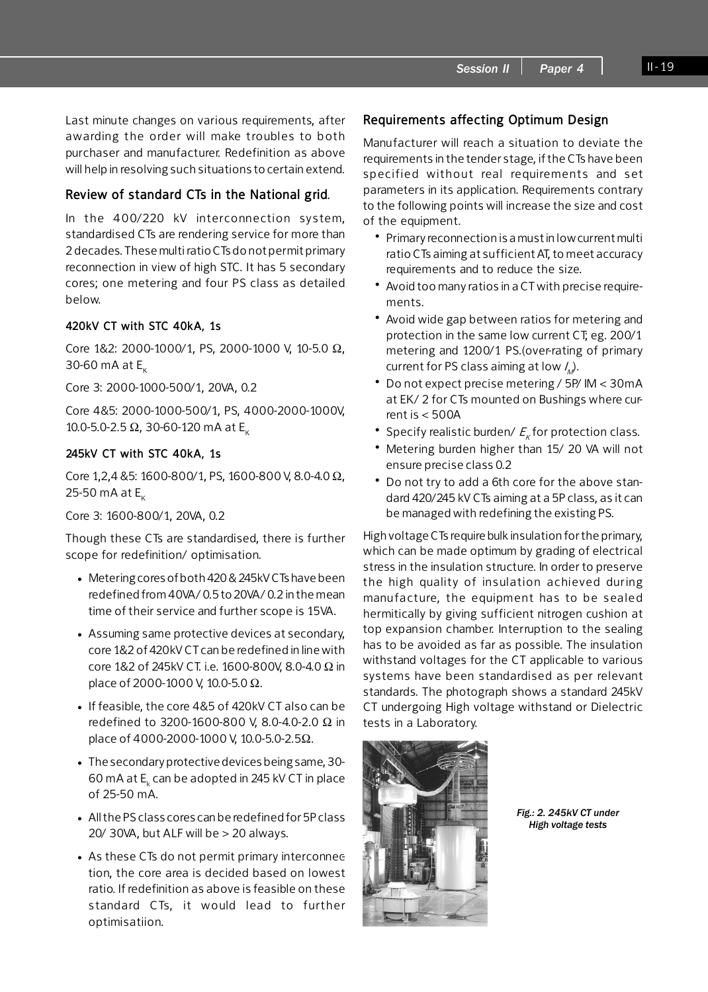Last minute changes on various requirements, after awarding the order will make troubles to both purchaser and manufacturer. Redefinition as above will help in resolving such situations to certain extend.

## Review of standard CTs in the National grid.

In the 400/220 kV interconnection system, standardised CTs are rendering service for more than 2 decades. These multi ratio CTs do not permit primary reconnection in view of high STC. It has 5 secondary cores; one metering and four PS class as detailed below.

## 420kV CT with STC 40kA, 1s

Core 1&2: 2000-1000/1, PS, 2000-1000 V, 10-5.0 Ω, 30-60 mA at  $E_{K}$ 

Core 3: 2000-1000-500/1, 20VA, 0.2

Core 4&5: 2000-1000-500/1, PS, 4000-2000-1000V, 10.0-5.0-2.5 Ω, 30-60-120 mA at E<sub>K</sub>

#### 245kV CT with STC 40kA, 1s

Core 1,2,4 &5: 1600-800/1, PS, 1600-800 V, 8.0-4.0 Ω, 25-50 mA at  $E_k$ 

Core 3: 1600-800/1, 20VA, 0.2

Though these CTs are standardised, there is further scope for redefinition/ optimisation.

- Metering cores of both 420 & 245kV CTs have been redefined from 40VA/ 0.5 to 20VA/ 0.2 in the mean time of their service and further scope is 15VA.
- Assuming same protective devices at secondary, core 1&2 of 420kV CT can be redefined in line with core 1&2 of 245kV CT. i.e. 1600-800V, 8.0-4.0 Ω in place of 2000-1000 V, 10.0-5.0 Ω.
- If feasible, the core 4&5 of 420kV CT also can be redefined to 3200-1600-800 V, 8.0-4.0-2.0 Ω in place of 4000-2000-1000 V, 10.0-5.0-2.5Ω.
- The secondary protective devices being same, 30- 60 mA at  $\mathsf{E}_{_\mathsf{k}}$  can be adopted in 245 kV CT in place of 25-50 mA.
- All the PS class cores can be redefined for 5P class 20/ 30VA, but ALF will be  $>$  20 always.
- As these CTs do not permit primary interconnee tion, the core area is decided based on lowest ratio. If redefinition as above is feasible on these s tandard CTs, it would lead to further optimisatiion.

## Requirements affecting Optimum Design

Manufacturer will reach a situation to deviate the requirements in the tender stage, if the CTs have been sp ecified without real requirements and set parameters in its application. Requirements contrary to the following points will increase the size and cost of the equipment.

- Primary reconnection is a must in low current multi ratio CTs aiming at sufficient AT, to meet accuracy requirements and to reduce the size.
- Avoid too many ratios in a CT with precise requirements.
- Avoid wide gap between ratios for metering and protection in the same low current CT; eg. 200/1 metering and 1200/1 PS.(over-rating of primary current for PS class aiming at low  $\mathcal{U}_{\mathcal{M}}$  .
- Do not expect precise metering / 5P/ IM < 30mA at EK/ 2 for CTs mounted on Bushings where current is < 500A
- Specify realistic burden/  $E_{K}$  for protection class.
- Metering burden higher than 15/20 VA will not ensure precise class 0.2
- Do not try to add a 6th core for the above standard 420/245 kV CTs aiming at a 5P class, as it can be managed with redefining the existing PS.

High voltage CTs require bulk insulation for the primary, which can be made optimum by grading of electrical stress in the insulation structure. In order to preserve the high quality of insulation achieved during manu facture, the equipment has to be sealed hermitically by giving sufficient nitrogen cushion at top expansion chamber. Interruption to the sealing has to be avoided as far as possible. The insulation withstand voltages for the CT applicable to various systems have been standardised as per relevant standards. The photograph shows a standard 245kV CT undergoing High voltage withstand or Dielectric tests in a Laboratory.



Fig.: 2. 245kV CT under High voltage tests